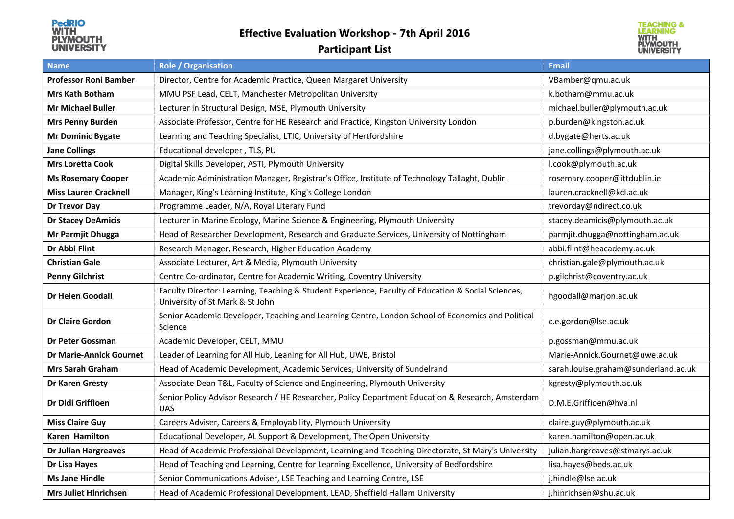## **Effective Evaluation Workshop - 7th April 2016**

## **Participant List**



| <b>Name</b>                    | <b>Role / Organisation</b>                                                                                                            | <b>Email</b>                         |
|--------------------------------|---------------------------------------------------------------------------------------------------------------------------------------|--------------------------------------|
| <b>Professor Roni Bamber</b>   | Director, Centre for Academic Practice, Queen Margaret University                                                                     | VBamber@qmu.ac.uk                    |
| <b>Mrs Kath Botham</b>         | MMU PSF Lead, CELT, Manchester Metropolitan University                                                                                | k.botham@mmu.ac.uk                   |
| <b>Mr Michael Buller</b>       | Lecturer in Structural Design, MSE, Plymouth University                                                                               | michael.buller@plymouth.ac.uk        |
| <b>Mrs Penny Burden</b>        | Associate Professor, Centre for HE Research and Practice, Kingston University London                                                  | p.burden@kingston.ac.uk              |
| <b>Mr Dominic Bygate</b>       | Learning and Teaching Specialist, LTIC, University of Hertfordshire                                                                   | d.bygate@herts.ac.uk                 |
| <b>Jane Collings</b>           | Educational developer, TLS, PU                                                                                                        | jane.collings@plymouth.ac.uk         |
| <b>Mrs Loretta Cook</b>        | Digital Skills Developer, ASTI, Plymouth University                                                                                   | l.cook@plymouth.ac.uk                |
| <b>Ms Rosemary Cooper</b>      | Academic Administration Manager, Registrar's Office, Institute of Technology Tallaght, Dublin                                         | rosemary.cooper@ittdublin.ie         |
| <b>Miss Lauren Cracknell</b>   | Manager, King's Learning Institute, King's College London                                                                             | lauren.cracknell@kcl.ac.uk           |
| Dr Trevor Day                  | Programme Leader, N/A, Royal Literary Fund                                                                                            | trevorday@ndirect.co.uk              |
| <b>Dr Stacey DeAmicis</b>      | Lecturer in Marine Ecology, Marine Science & Engineering, Plymouth University                                                         | stacey.deamicis@plymouth.ac.uk       |
| Mr Parmjit Dhugga              | Head of Researcher Development, Research and Graduate Services, University of Nottingham                                              | parmjit.dhugga@nottingham.ac.uk      |
| Dr Abbi Flint                  | Research Manager, Research, Higher Education Academy                                                                                  | abbi.flint@heacademy.ac.uk           |
| <b>Christian Gale</b>          | Associate Lecturer, Art & Media, Plymouth University                                                                                  | christian.gale@plymouth.ac.uk        |
| <b>Penny Gilchrist</b>         | Centre Co-ordinator, Centre for Academic Writing, Coventry University                                                                 | p.gilchrist@coventry.ac.uk           |
| Dr Helen Goodall               | Faculty Director: Learning, Teaching & Student Experience, Faculty of Education & Social Sciences,<br>University of St Mark & St John | hgoodall@marjon.ac.uk                |
| <b>Dr Claire Gordon</b>        | Senior Academic Developer, Teaching and Learning Centre, London School of Economics and Political<br>Science                          | c.e.gordon@lse.ac.uk                 |
| Dr Peter Gossman               | Academic Developer, CELT, MMU                                                                                                         | p.gossman@mmu.ac.uk                  |
| <b>Dr Marie-Annick Gournet</b> | Leader of Learning for All Hub, Leaning for All Hub, UWE, Bristol                                                                     | Marie-Annick.Gournet@uwe.ac.uk       |
| Mrs Sarah Graham               | Head of Academic Development, Academic Services, University of Sundelrand                                                             | sarah.louise.graham@sunderland.ac.uk |
| Dr Karen Gresty                | Associate Dean T&L, Faculty of Science and Engineering, Plymouth University                                                           | kgresty@plymouth.ac.uk               |
| Dr Didi Griffioen              | Senior Policy Advisor Research / HE Researcher, Policy Department Education & Research, Amsterdam<br><b>UAS</b>                       | D.M.E.Griffioen@hva.nl               |
| <b>Miss Claire Guy</b>         | Careers Adviser, Careers & Employability, Plymouth University                                                                         | claire.guy@plymouth.ac.uk            |
| <b>Karen Hamilton</b>          | Educational Developer, AL Support & Development, The Open University                                                                  | karen.hamilton@open.ac.uk            |
| <b>Dr Julian Hargreaves</b>    | Head of Academic Professional Development, Learning and Teaching Directorate, St Mary's University                                    | julian.hargreaves@stmarys.ac.uk      |
| Dr Lisa Hayes                  | Head of Teaching and Learning, Centre for Learning Excellence, University of Bedfordshire                                             | lisa.hayes@beds.ac.uk                |
| <b>Ms Jane Hindle</b>          | Senior Communications Adviser, LSE Teaching and Learning Centre, LSE                                                                  | j.hindle@lse.ac.uk                   |
| <b>Mrs Juliet Hinrichsen</b>   | Head of Academic Professional Development, LEAD, Sheffield Hallam University                                                          | j.hinrichsen@shu.ac.uk               |